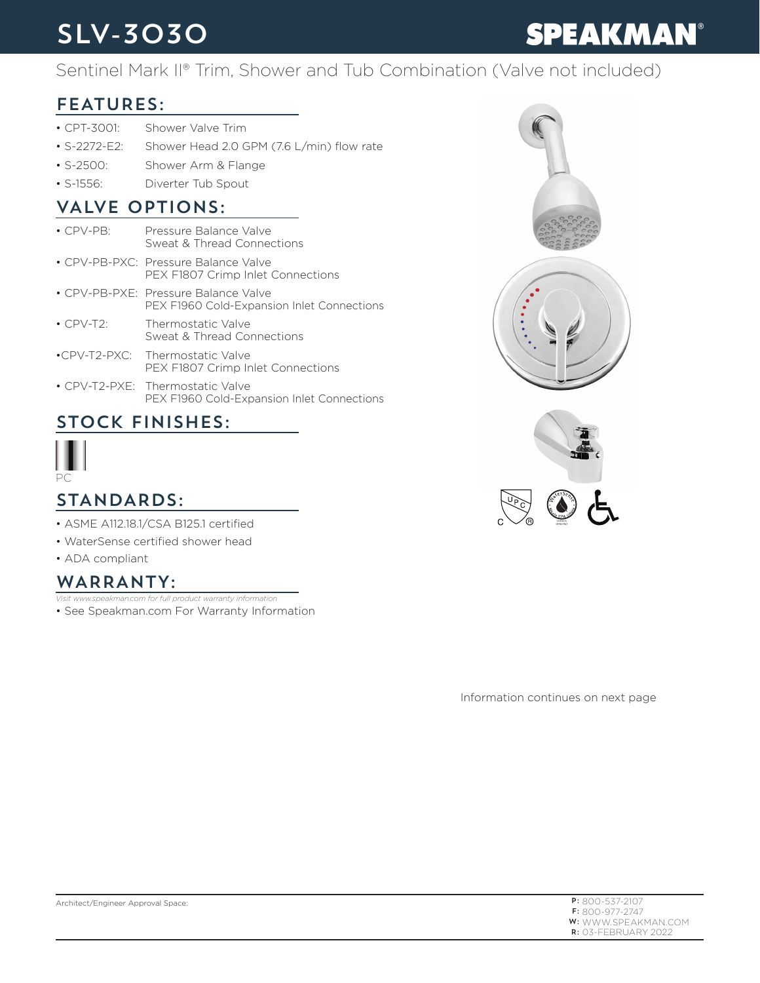### SLV-3030

# **SPEAKMAN®**

#### Sentinel Mark II® Trim, Shower and Tub Combination (Valve not included)

#### FEATURES:

- CPT-3001: Shower Valve Trim
- S-2272-E2: Shower Head 2.0 GPM (7.6 L/min) flow rate
- S-2500: Shower Arm & Flange
- S-1556: Diverter Tub Spout

#### VALVE OPTIONS:

- CPV-PB: Pressure Balance Valve Sweat & Thread Connections • CPV-PB-PXC: Pressure Balance Valve PEX F1807 Crimp Inlet Connections • CPV-PB-PXE: Pressure Balance Valve PEX F1960 Cold-Expansion Inlet Connections • CPV-T2: Thermostatic Valve Sweat & Thread Connections •CPV-T2-PXC: Thermostatic Valve PEX F1807 Crimp Inlet Connections
- CPV-T2-PXE: Thermostatic Valve PEX F1960 Cold-Expansion Inlet Connections

#### STOCK FINISHES:



#### STANDARDS:

- ASME A112.18.1/CSA B125.1 certified
- WaterSense certified shower head
- ADA compliant

#### WARRANTY:

• See Speakman.com For Warranty Information *Visit www.speakman.com for full product warranty information*

Information continues on next page

| $P: 800 - 537 - 2107$      |
|----------------------------|
| $F: 800 - 977 - 2747$      |
| <b>W:</b> WWW.SPEAKMAN.COM |
| $R:$ 03-FFBRUARY 2022      |